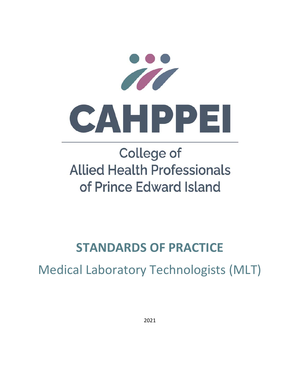

# **College of Allied Health Professionals** of Prince Edward Island

## **STANDARDS OF PRACTICE**

Medical Laboratory Technologists (MLT)

2021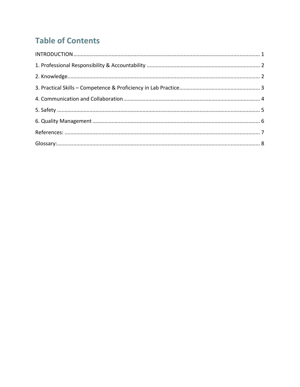## **Table of Contents**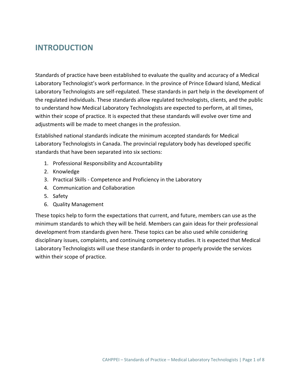#### **INTRODUCTION**

Standards of practice have been established to evaluate the quality and accuracy of a Medical Laboratory Technologist's work performance. In the province of Prince Edward Island, Medical Laboratory Technologists are self‐regulated. These standards in part help in the development of the regulated individuals. These standards allow regulated technologists, clients, and the public to understand how Medical Laboratory Technologists are expected to perform, at all times, within their scope of practice. It is expected that these standards will evolve over time and adjustments will be made to meet changes in the profession.

Established national standards indicate the minimum accepted standards for Medical Laboratory Technologists in Canada. The provincial regulatory body has developed specific standards that have been separated into six sections:

- 1. Professional Responsibility and Accountability
- 2. Knowledge
- 3. Practical Skills ‐ Competence and Proficiency in the Laboratory
- 4. Communication and Collaboration
- 5. Safety
- 6. Quality Management

These topics help to form the expectations that current, and future, members can use as the minimum standards to which they will be held. Members can gain ideas for their professional development from standards given here. These topics can be also used while considering disciplinary issues, complaints, and continuing competency studies. It is expected that Medical Laboratory Technologists will use these standards in order to properly provide the services within their scope of practice.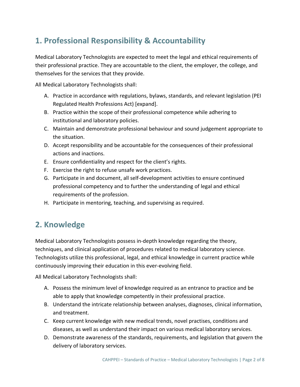### **1. Professional Responsibility & Accountability**

Medical Laboratory Technologists are expected to meet the legal and ethical requirements of their professional practice. They are accountable to the client, the employer, the college, and themselves for the services that they provide.

All Medical Laboratory Technologists shall:

- A. Practice in accordance with regulations, bylaws, standards, and relevant legislation (PEI Regulated Health Professions Act) [expand].
- B. Practice within the scope of their professional competence while adhering to institutional and laboratory policies.
- C. Maintain and demonstrate professional behaviour and sound judgement appropriate to the situation.
- D. Accept responsibility and be accountable for the consequences of their professional actions and inactions.
- E. Ensure confidentiality and respect for the client's rights.
- F. Exercise the right to refuse unsafe work practices.
- G. Participate in and document, all self‐development activities to ensure continued professional competency and to further the understanding of legal and ethical requirements of the profession.
- H. Participate in mentoring, teaching, and supervising as required.

#### **2. Knowledge**

Medical Laboratory Technologists possess in‐depth knowledge regarding the theory, techniques, and clinical application of procedures related to medical laboratory science. Technologists utilize this professional, legal, and ethical knowledge in current practice while continuously improving their education in this ever‐evolving field.

- A. Possess the minimum level of knowledge required as an entrance to practice and be able to apply that knowledge competently in their professional practice.
- B. Understand the intricate relationship between analyses, diagnoses, clinical information, and treatment.
- C. Keep current knowledge with new medical trends, novel practises, conditions and diseases, as well as understand their impact on various medical laboratory services.
- D. Demonstrate awareness of the standards, requirements, and legislation that govern the delivery of laboratory services.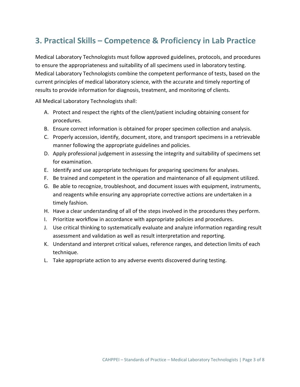#### **3. Practical Skills – Competence & Proficiency in Lab Practice**

Medical Laboratory Technologists must follow approved guidelines, protocols, and procedures to ensure the appropriateness and suitability of all specimens used in laboratory testing. Medical Laboratory Technologists combine the competent performance of tests, based on the current principles of medical laboratory science, with the accurate and timely reporting of results to provide information for diagnosis, treatment, and monitoring of clients.

- A. Protect and respect the rights of the client/patient including obtaining consent for procedures.
- B. Ensure correct information is obtained for proper specimen collection and analysis.
- C. Properly accession, identify, document, store, and transport specimens in a retrievable manner following the appropriate guidelines and policies.
- D. Apply professional judgement in assessing the integrity and suitability of specimens set for examination.
- E. Identify and use appropriate techniques for preparing specimens for analyses.
- F. Be trained and competent in the operation and maintenance of all equipment utilized.
- G. Be able to recognize, troubleshoot, and document issues with equipment, instruments, and reagents while ensuring any appropriate corrective actions are undertaken in a timely fashion.
- H. Have a clear understanding of all of the steps involved in the procedures they perform.
- I. Prioritize workflow in accordance with appropriate policies and procedures.
- J. Use critical thinking to systematically evaluate and analyze information regarding result assessment and validation as well as result interpretation and reporting.
- K. Understand and interpret critical values, reference ranges, and detection limits of each technique.
- L. Take appropriate action to any adverse events discovered during testing.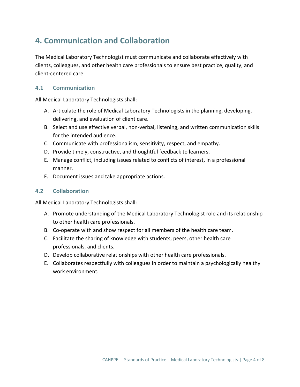#### **4. Communication and Collaboration**

The Medical Laboratory Technologist must communicate and collaborate effectively with clients, colleagues, and other health care professionals to ensure best practice, quality, and client‐centered care.

#### **4.1 Communication**

All Medical Laboratory Technologists shall:

- A. Articulate the role of Medical Laboratory Technologists in the planning, developing, delivering, and evaluation of client care.
- B. Select and use effective verbal, non‐verbal, listening, and written communication skills for the intended audience.
- C. Communicate with professionalism, sensitivity, respect, and empathy.
- D. Provide timely, constructive, and thoughtful feedback to learners.
- E. Manage conflict, including issues related to conflicts of interest, in a professional manner.
- F. Document issues and take appropriate actions.

#### **4.2 Collaboration**

- A. Promote understanding of the Medical Laboratory Technologist role and its relationship to other health care professionals.
- B. Co-operate with and show respect for all members of the health care team.
- C. Facilitate the sharing of knowledge with students, peers, other health care professionals, and clients.
- D. Develop collaborative relationships with other health care professionals.
- E. Collaborates respectfully with colleagues in order to maintain a psychologically healthy work environment.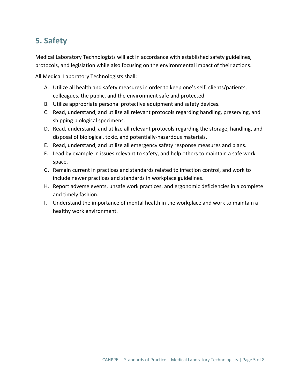#### **5. Safety**

Medical Laboratory Technologists will act in accordance with established safety guidelines, protocols, and legislation while also focusing on the environmental impact of their actions.

- A. Utilize all health and safety measures in order to keep one's self, clients/patients, colleagues, the public, and the environment safe and protected.
- B. Utilize appropriate personal protective equipment and safety devices.
- C. Read, understand, and utilize all relevant protocols regarding handling, preserving, and shipping biological specimens.
- D. Read, understand, and utilize all relevant protocols regarding the storage, handling, and disposal of biological, toxic, and potentially‐hazardous materials.
- E. Read, understand, and utilize all emergency safety response measures and plans.
- F. Lead by example in issues relevant to safety, and help others to maintain a safe work space.
- G. Remain current in practices and standards related to infection control, and work to include newer practices and standards in workplace guidelines.
- H. Report adverse events, unsafe work practices, and ergonomic deficiencies in a complete and timely fashion.
- I. Understand the importance of mental health in the workplace and work to maintain a healthy work environment.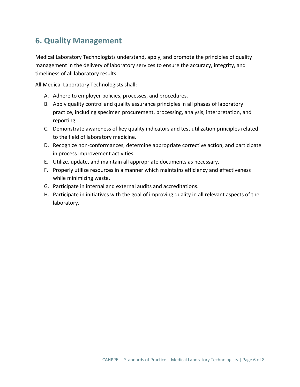#### **6. Quality Management**

Medical Laboratory Technologists understand, apply, and promote the principles of quality management in the delivery of laboratory services to ensure the accuracy, integrity, and timeliness of all laboratory results.

- A. Adhere to employer policies, processes, and procedures.
- B. Apply quality control and quality assurance principles in all phases of laboratory practice, including specimen procurement, processing, analysis, interpretation, and reporting.
- C. Demonstrate awareness of key quality indicators and test utilization principles related to the field of laboratory medicine.
- D. Recognize non‐conformances, determine appropriate corrective action, and participate in process improvement activities.
- E. Utilize, update, and maintain all appropriate documents as necessary.
- F. Properly utilize resources in a manner which maintains efficiency and effectiveness while minimizing waste.
- G. Participate in internal and external audits and accreditations.
- H. Participate in initiatives with the goal of improving quality in all relevant aspects of the laboratory.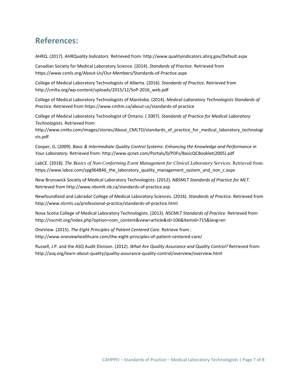#### **References:**

AHRQ. (2017). *AHRQuality Indicators.* Retrieved from: http://www.qualityindicators.ahrq.gov/Default.aspx

Canadian Society for Medical Laboratory Science. (2014). *Standards of Practice.* Retrieved from https://www.csmls.org/About‐Us/Our‐Members/Standards‐of‐Practice.aspx

College of Medical Laboratory Technologists of Alberta. (2016). *Standards of Practice.* Retrieved from http://cmlta.org/wp‐content/uploads/2015/12/SoP‐2016\_web.pdf

College of Medical Laboratory Technologists of Manitoba. (2014). *Medical Laboratory Technologists Standards of Practice.* Retrieved from https://www.cmltm.ca/about‐us/standards‐of‐practice

College of Medical Laboratory Technologist of Ontario. ( 2007). *Standards of Practice for Medical Laboratory Technologists.* Retrieved from

http://www.cmlto.com/images/stories/About\_CMLTO/standards\_of\_practice\_for\_medical\_laboratory\_technologi sts.pdf

Cooper, G. (2009). *Basic & Intermediate Quality Control Systems: Enhancing the Knowledge and Performance in Your Laboratory.* Retrieved from: http://www.qcnet.com/Portals/0/PDFs/BasicQCBooklet(2005).pdf

LabCE. (2018). *The Basics of Non-Conforming Event Management for Clinical Laboratory Services.* Retrieved from: https://www.labce.com/spg964846\_the\_laboratory\_quality\_management\_system\_and\_non\_c.aspx

New Brunswick Society of Medical Laboratory Technologists. (2012). *NBSMLT Standards of Practice for MLT.*  Retrieved from http://www.nbsmlt.nb.ca/standards‐of‐practice.asp

Newfoundland and Labrador College of Medical Laboratory Sciences. (2016). *Standards of Practice.* Retrieved from http://www.nlcmls.ca/professional‐practice/standards‐of‐practice.html

Nova Scotia College of Medical Laboratory Technologists. (2013). *NSCMLT Standards of Practice.* Retrieved from http://nscmlt.org/index.php?option=com\_content&view=article&id=106&Itemid=715&lang=en

OneView. (2015). *The Eight Principles of Patient Centered Care.* Retrieve from : http://www.oneviewhealthcare.com/the-eight-principles-of-patient-centered-care/

Russell, J.P. and the ASQ Audit Division. (2012). *What Are Quality Assurance and Quality Control?* Retrieved from: http://asq.org/learn‐about‐quality/quality‐assurance‐quality‐control/overview/overview.html